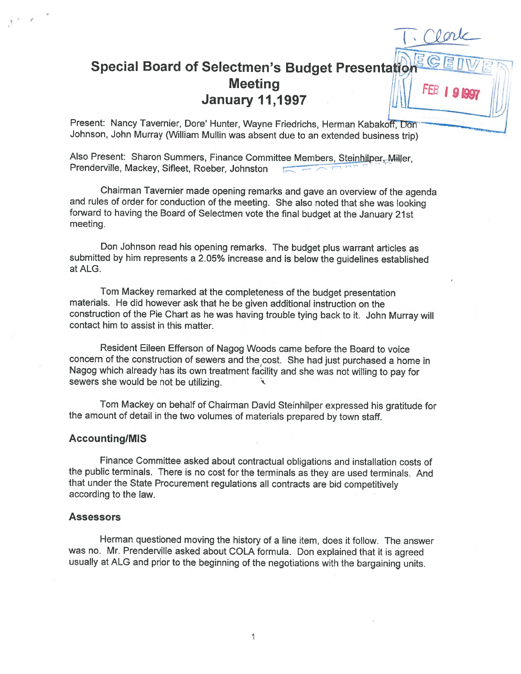# Special Board of Selectmen's Budget Presentation Meeting<br>January 11,1997

Present: Nancy Tavernier, Dore' Hunter, Wayne Friedrichs, Herman Kabakoff, Don Johnson, John Murray (William Mullin was absent due to an extended business trip)

Also Present: Sharon Summers, Finance Committee Members, Steinhilper, Miller, Prenderville, Mackey, Sifleet, Roeber, Johnston

Chairman Tavernier made opening remarks and gave an overview of the agenda and rules of order for conduction of the meeting. She also noted that she was looking forward to having the Board of Selectmen vote the final budget at the January 21st meeting.

Don Johnson read his opening remarks. The budget <sup>p</sup>lus warrant articles as submitted by him represents <sup>a</sup> 2.05% increase and is below the guidelines established atALG.

Tom Mackey remarked at the completeness of the budget presentation materials. He did however ask that he be <sup>g</sup>iven additional instruction on the construction of the Pie Chart as he was having trouble tying back to it. John Murray will contact him to assist in this matter.

Resident Eileen Efferson of Nagog Woods came before the Board to voice concern of the construction of sewers and the cost. She had just purchased <sup>a</sup> home in Nagog which already has its own treatment facility and she was not willing to pay for sewers she would be not be utilizing.

Tom Mackey on behalf of Chairman David Steinhilper expressed his gratitude for the amount of detail in the two volumes of materials prepared by town staff.

#### Accounting/MIS

V

Finance Committee asked about contractual obligations and installation costs of the public terminals. There is no cost for the terminals as they are used terminals. And that under the State Procurement regulations all contracts are bid competitively according to the law.

# **Assessors**

Herman questioned moving the history of <sup>a</sup> line item, does it follow. The answer was no. Mr. Prenderville asked about COLA formula. Don explained that it is agreed usually at ALG and prior to the beginning of the negotiations with the bargaining units.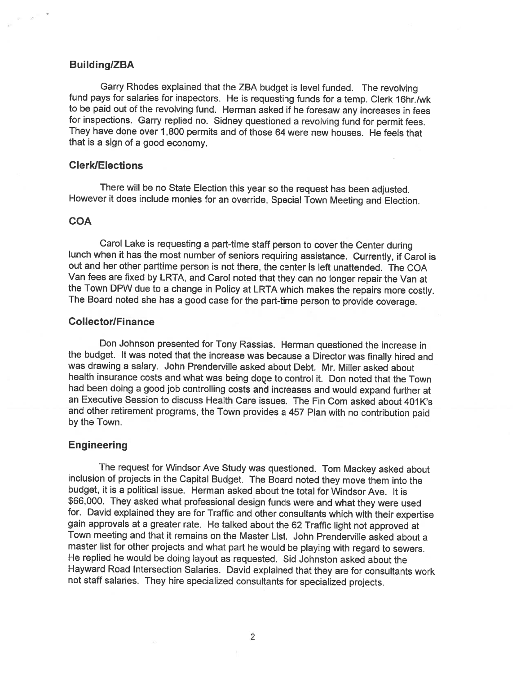## Building/ZBA

Garry Rhodes explained that the ZBA budget is level funded. The revolving fund pays for salaries for inspectors. He is requesting funds for a temp. Clerk 16hr./wk to be paid out of the revolving fund. Herman asked if he foresaw any increases in fees for inspections. Garry replied no. Sidney questioned <sup>a</sup> revolving fund for permit fees. They have done over 1,800 permits and of those <sup>64</sup> were new houses. He feels that that is <sup>a</sup> sign of <sup>a</sup> good economy.

# ClerklElections

There will be no State Election this year so the request has been adjusted. However it does include monies for an override, Special Town Meeting and Election.

#### **COA**

Carol Lake is requesting <sup>a</sup> part-time staff person to cover the Center during lunch when it has the most number of seniors requiring assistance. Currently, if Carol is out and her other parttime person is not there, the center is left unattended. The COA Van fees are fixed by LRTA, and Carol noted that they can no longer repair the Van at The Board noted she has a good case for the part-time person to provide coverage.

# **Collector/Finance**

Don Johnson presented for Tony Rassias. Herman questioned the increase in the budget. It was noted that the increase was because <sup>a</sup> Director was finally hired and was drawing a salary. John Prenderville asked about Debt. Mr. Miller asked about health insurance costs and what was being done to control it. Don noted that the Town had been doing <sup>a</sup> good job controlling costs and increases and would expand further at an Executive Session to discuss Health Care issues. The Fin Com asked about 401K's and other retirement programs, the Town provides <sup>a</sup> <sup>457</sup> Plan with no contribution paid by the Town.

# Engineering

The request for Windsor Ave Study was questioned. Tom Mackey asked about inclusion of projects in the Capital Budget. The Board noted they move them into the budget, it is <sup>a</sup> political issue. Herman asked about the total for Windsor Ave. It is \$66,000. They asked what professional design funds were and what they were used for. David explained they are for Traffic and other consultants which with their expertise gain approvals at <sup>a</sup> greater rate. He talked about the <sup>62</sup> Traffic light not approved at Town meeting and that it remains on the Master List. John Prenderville asked about <sup>a</sup> master list for other projects and what part he would be <sup>p</sup>laying with regard to sewers. He replied he would be doing layout as requested. Sid Johnston asked about the Hayward Road Intersection Salaries. David explained that they are for consultants work not staff salaries. They hire specialized consultants for specialized projects.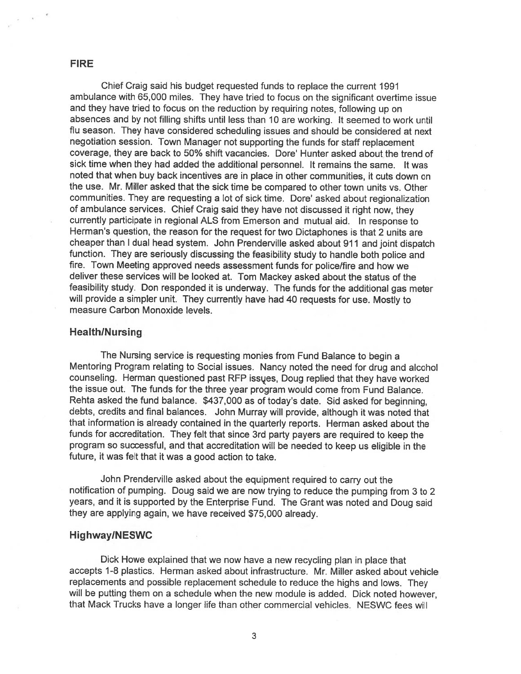# FIRE

Chief Craig said his budget requested funds to replace the current 1991 ambulance with 65,000 miles. They have tried to focus on the significant overtime issue and they have tried to focus on the reduction by requiring notes, following up on absences and by not filling shifts until less than <sup>10</sup> are working. It seemed to work until flu season. They have considered scheduling issues and should be considered at next negotiation session. Town Manager not supporting the funds for staff replacement coverage, they are back to 50% shift vacancies. Dore' Hunter asked about the trend of sick time when they had added the additional personnel. It remains the same. It was noted that when buy back incentives are in <sup>p</sup>lace in other communities, it cuts down on the use. Mr. Miller asked that the sick time be compared to other town units vs. Other communities. They are requesting a lot of sick time. Dore' asked about regionalization of ambulance services. Chief Craig said they have not discussed it right now, they currently participate in regional ALS from Emerson and mutual aid. In response to Herman's question, the reason for the reques<sup>t</sup> for two Dictaphones is that <sup>2</sup> units are cheaper than <sup>I</sup> dual head system. John Prenderville asked about <sup>911</sup> and joint dispatch function. They are seriously discussing the feasibility study to handle both police and fire. Town Meeting approved needs assessment funds for police/fire and how we deliver these services will be looked at. Tom Mackey asked about the status of the feasibility study. Don responded it is underway. The funds for the additional gas meter will provide <sup>a</sup> simpler unit. They currently have had <sup>40</sup> requests for use. Mostly to measure Carbon Monoxide levels.

# Health/Nursing

The Nursing service is requesting monies from Fund Balance to begin <sup>a</sup> Mentoring Program relating to Social issues. Nancy noted the need for drug and alcohol counseling. Herman questioned pas<sup>t</sup> RFP issues, Doug replied that they have worked the issue out. The funds for the three year program would come from Fund Balance. Rehta asked the fund balance. \$437,000 as of today's date. Sid asked for beginning, debts, credits and final balances. John Murray will provide, although it was noted that that information is already contained in the quarterly reports. Herman asked about the funds for accreditation. They felt that since 3rd party payers are required to keep the program so successful, and that accreditation will be needed to keep us eligible in the future, it was felt that it was <sup>a</sup> good action to take.

John Prenderville asked about the equipment required to carry out the notification of pumping. Doug said we are now trying to reduce the pumping from <sup>3</sup> to <sup>2</sup> years, and it is supported by the Enterprise Fund. The Grant was noted and Doug said they are applying again, we have received \$75,000 already.

# Highway!NESWC

Dick Howe explained that we now have <sup>a</sup> new recycling <sup>p</sup>lan in <sup>p</sup>lace that accepts 1-8 plastics. Herman asked about infrastructure. Mr. Miller asked about vehicle replacements and possible replacement schedule to reduce the highs and lows. They will be putting them on <sup>a</sup> schedule when the new module is added. Dick noted however, that Mack Trucks have <sup>a</sup> longer life than other commercial vehicles. NESWC fees will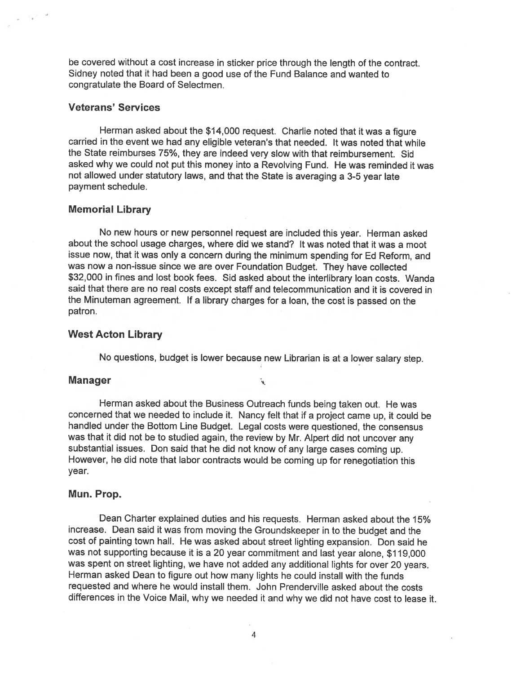be covered without <sup>a</sup> cost increase in sticker price through the length of the contract. Sidney noted that it had been <sup>a</sup> good use of the Fund Balance and wanted to congratulate the Board of Selectmen.

# Veterans' Services

Herman asked about the \$14,000 request. Charlie noted that it was <sup>a</sup> figure carried in the event we had any eligible veteran's that needed, It was noted that while the State reimburses 75%, they are indeed very slow with that reimbursement. Sid asked why we could not pu<sup>t</sup> this money into <sup>a</sup> Revolving Fund. He was reminded it was not allowed under statutory laws, and that the State is averaging <sup>a</sup> 3-5 year late paymen<sup>t</sup> schedule.

#### Memorial Library

No new hours or new personne<sup>l</sup> reques<sup>t</sup> are included this year. Herman asked about the school usage charges, where did we stand? It was noted that it was <sup>a</sup> moot issue now, that it was only <sup>a</sup> concern during the minimum spending for Ed Reform, and was now <sup>a</sup> non-issue since we are over Foundation Budget. They have collected \$32,000 in fines and lost book fees. Sid asked about the interlibrary loan costs. Wanda said that there are no real costs excep<sup>t</sup> staff and telecommunication and it is covered in the Minuteman agreement. If <sup>a</sup> library charges for <sup>a</sup> loan, the cost is passe<sup>d</sup> on the patron.

#### West Acton Library

No questions, budget is lower because new Librarian is at <sup>a</sup> lower salary step.

.<br>پي

#### Manager

Herman asked about the Business Outreach funds being taken out. He was concerned that we needed to include it. Nancy felt that if <sup>a</sup> project came up, it could be handled under the Bottom Line Budget. Legal costs were questioned, the consensus was that it did not be to studied again, the review by Mr. Alpert did not uncover any substantial issues. Don said that he did not know of any large cases coming up. However, he did note that labor contracts would be coming up for renegotiation this year.

#### Mun. Prop.

Dean Charter explained duties and his requests. Herman asked about the 15% increase. Dean said it was from moving the Groundskeeper in to the budget and the cost of painting town hail. He was asked about street lighting expansion. Don said he was not supporting because it is <sup>a</sup> <sup>20</sup> year commitment and last year alone, \$1 19,000 was spen<sup>t</sup> on street lighting, we have not added any additional lights for over <sup>20</sup> years. Herman asked Dean to figure out how many lights he could install with the funds requested and where he would install them. John Prenderville asked about the costs differences in the Voice Mail, why we needed it and why we did not have cost to lease it.